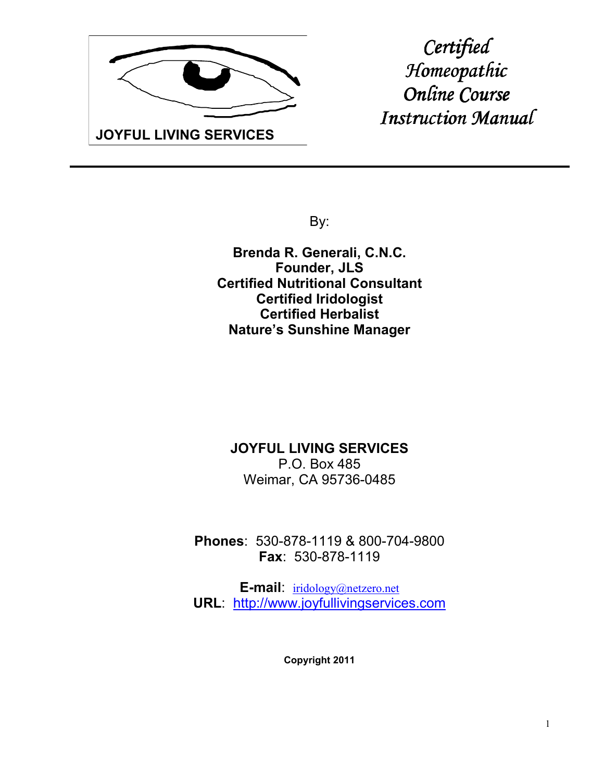

*Certified Homeopathic Online Course Online Course Instruction Manual* 

By:

**Brenda R. Generali, C.N.C. Founder, JLS Certified Nutritional Consultant Certified Iridologist Certified Herbalist Nature's Sunshine Manager**

### **JOYFUL LIVING SERVICES** P.O. Box 485 Weimar, CA 95736-0485

**Phones**: 530-878-1119 & 800-704-9800 **Fax**: 530-878-1119

**E-mail**: iridology@netzero.net **URL**: http://www.joyfullivingservices.com

**Copyright 2011**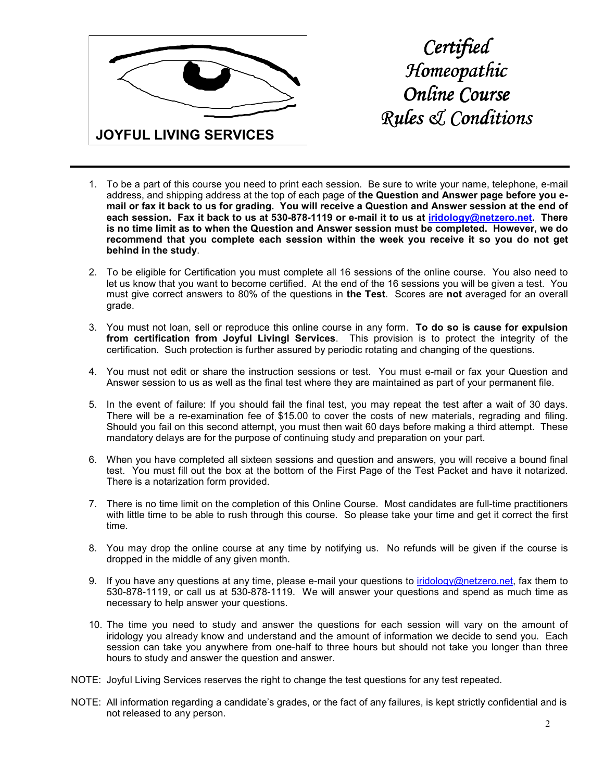

*Certified Homeopathic Online Course Online Course Rules & Conditions* 

- 1. To be a part of this course you need to print each session. Be sure to write your name, telephone, e-mail address, and shipping address at the top of each page of **the Question and Answer page before you email or fax it back to us for grading. You will receive a Question and Answer session at the end of each session. Fax it back to us at 530-878-1119 or e-mail it to us at iridology@netzero.net. There is no time limit as to when the Question and Answer session must be completed. However, we do recommend that you complete each session within the week you receive it so you do not get behind in the study**.
- 2. To be eligible for Certification you must complete all 16 sessions of the online course. You also need to let us know that you want to become certified. At the end of the 16 sessions you will be given a test. You must give correct answers to 80% of the questions in **the Test**. Scores are **not** averaged for an overall grade.
- 3. You must not loan, sell or reproduce this online course in any form. **To do so is cause for expulsion from certification from Joyful Livingl Services**. This provision is to protect the integrity of the certification. Such protection is further assured by periodic rotating and changing of the questions.
- 4. You must not edit or share the instruction sessions or test. You must e-mail or fax your Question and Answer session to us as well as the final test where they are maintained as part of your permanent file.
- 5. In the event of failure: If you should fail the final test, you may repeat the test after a wait of 30 days. There will be a re-examination fee of \$15.00 to cover the costs of new materials, regrading and filing. Should you fail on this second attempt, you must then wait 60 days before making a third attempt. These mandatory delays are for the purpose of continuing study and preparation on your part.
- 6. When you have completed all sixteen sessions and question and answers, you will receive a bound final test. You must fill out the box at the bottom of the First Page of the Test Packet and have it notarized. There is a notarization form provided.
- 7. There is no time limit on the completion of this Online Course. Most candidates are full-time practitioners with little time to be able to rush through this course. So please take your time and get it correct the first time.
- 8. You may drop the online course at any time by notifying us. No refunds will be given if the course is dropped in the middle of any given month.
- 9. If you have any questions at any time, please e-mail your questions to iridology@netzero.net, fax them to 530-878-1119, or call us at 530-878-1119. We will answer your questions and spend as much time as necessary to help answer your questions.
- 10. The time you need to study and answer the questions for each session will vary on the amount of iridology you already know and understand and the amount of information we decide to send you. Each session can take you anywhere from one-half to three hours but should not take you longer than three hours to study and answer the question and answer.
- NOTE: Joyful Living Services reserves the right to change the test questions for any test repeated.
- NOTE: All information regarding a candidate's grades, or the fact of any failures, is kept strictly confidential and is not released to any person.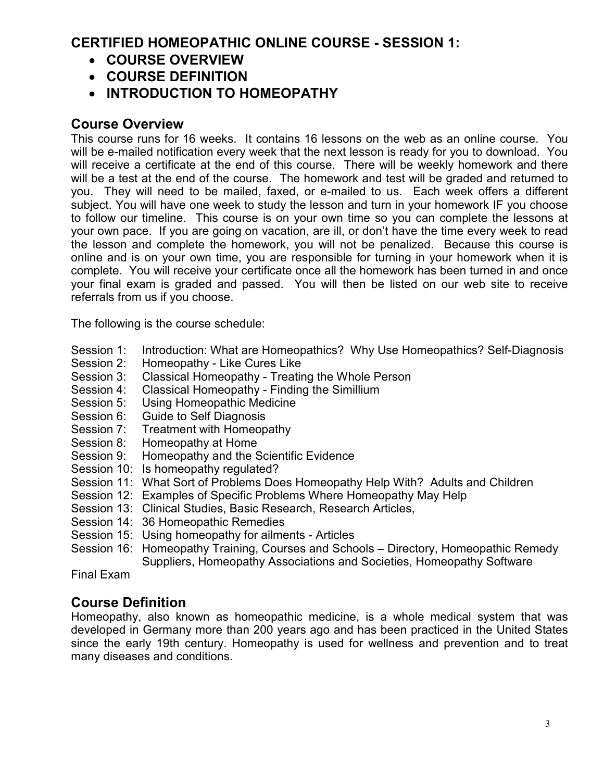## **CERTIFIED HOMEOPATHIC ONLINE COURSE - SESSION 1:**

- **COURSE OVERVIEW**
- **COURSE DEFINITION**
- **INTRODUCTION TO HOMEOPATHY**

## **Course Overview**

This course runs for 16 weeks. It contains 16 lessons on the web as an online course. You will be e-mailed notification every week that the next lesson is ready for you to download. You will receive a certificate at the end of this course. There will be weekly homework and there will be a test at the end of the course. The homework and test will be graded and returned to you. They will need to be mailed, faxed, or e-mailed to us. Each week offers a different subject. You will have one week to study the lesson and turn in your homework IF you choose to follow our timeline. This course is on your own time so you can complete the lessons at your own pace. If you are going on vacation, are ill, or don't have the time every week to read the lesson and complete the homework, you will not be penalized. Because this course is online and is on your own time, you are responsible for turning in your homework when it is complete. You will receive your certificate once all the homework has been turned in and once your final exam is graded and passed. You will then be listed on our web site to receive referrals from us if you choose.

The following is the course schedule:

- Session 1: Introduction: What are Homeopathics? Why Use Homeopathics? Self-Diagnosis
- Session 2: Homeopathy Like Cures Like
- Session 3: Classical Homeopathy Treating the Whole Person
- Session 4: Classical Homeopathy Finding the Simillium
- Session 5: Using Homeopathic Medicine
- Session 6: Guide to Self Diagnosis
- Session 7: Treatment with Homeopathy<br>Session 8: Homeopathy at Home
- Homeopathy at Home
- Session 9: Homeopathy and the Scientific Evidence
- Session 10: Is homeopathy regulated?
- Session 11: What Sort of Problems Does Homeopathy Help With? Adults and Children
- Session 12: Examples of Specific Problems Where Homeopathy May Help
- Session 13: Clinical Studies, Basic Research, Research Articles,
- Session 14: 36 Homeopathic Remedies
- Session 15: Using homeopathy for ailments Articles
- Session 16: Homeopathy Training, Courses and Schools Directory, Homeopathic Remedy Suppliers, Homeopathy Associations and Societies, Homeopathy Software

Final Exam

### **Course Definition**

Homeopathy, also known as homeopathic medicine, is a whole medical system that was developed in Germany more than 200 years ago and has been practiced in the United States since the early 19th century. Homeopathy is used for wellness and prevention and to treat many diseases and conditions.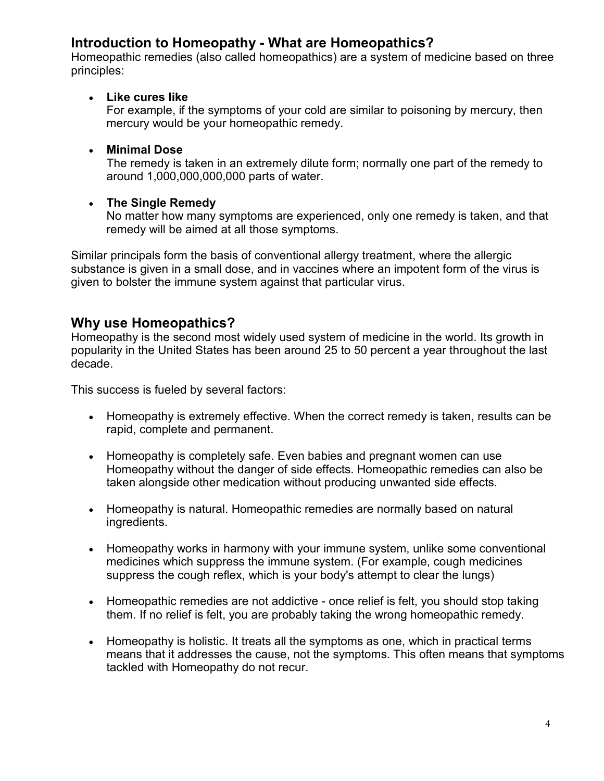### **Introduction to Homeopathy - What are Homeopathics?**

Homeopathic remedies (also called homeopathics) are a system of medicine based on three principles:

#### • **Like cures like**

For example, if the symptoms of your cold are similar to poisoning by mercury, then mercury would be your homeopathic remedy.

#### • **Minimal Dose**

The remedy is taken in an extremely dilute form; normally one part of the remedy to around 1,000,000,000,000 parts of water.

#### • **The Single Remedy**

No matter how many symptoms are experienced, only one remedy is taken, and that remedy will be aimed at all those symptoms.

Similar principals form the basis of conventional allergy treatment, where the allergic substance is given in a small dose, and in vaccines where an impotent form of the virus is given to bolster the immune system against that particular virus.

### **Why use Homeopathics?**

Homeopathy is the second most widely used system of medicine in the world. Its growth in popularity in the United States has been around 25 to 50 percent a year throughout the last decade.

This success is fueled by several factors:

- Homeopathy is extremely effective. When the correct remedy is taken, results can be rapid, complete and permanent.
- Homeopathy is completely safe. Even babies and pregnant women can use Homeopathy without the danger of side effects. Homeopathic remedies can also be taken alongside other medication without producing unwanted side effects.
- Homeopathy is natural. Homeopathic remedies are normally based on natural ingredients.
- Homeopathy works in harmony with your immune system, unlike some conventional medicines which suppress the immune system. (For example, cough medicines suppress the cough reflex, which is your body's attempt to clear the lungs)
- Homeopathic remedies are not addictive once relief is felt, you should stop taking them. If no relief is felt, you are probably taking the wrong homeopathic remedy.
- Homeopathy is holistic. It treats all the symptoms as one, which in practical terms means that it addresses the cause, not the symptoms. This often means that symptoms tackled with Homeopathy do not recur.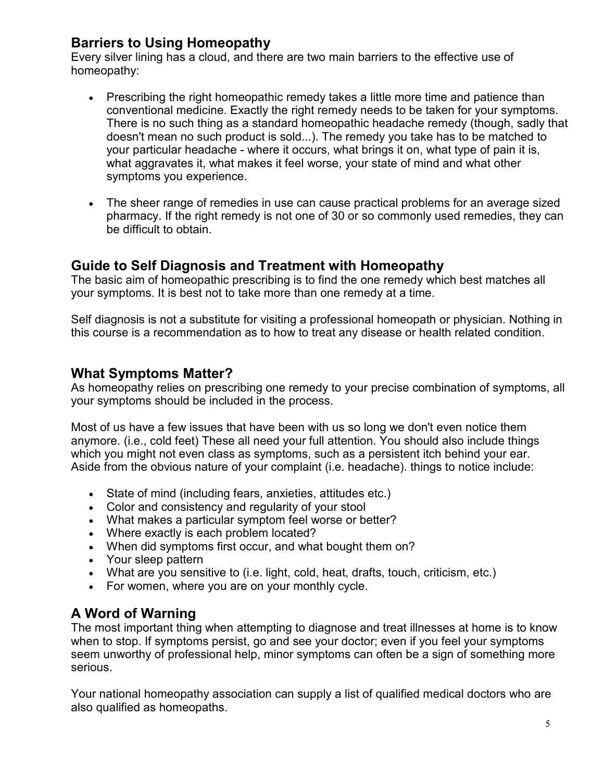## **Barriers to Using Homeopathy**

Every silver lining has a cloud, and there are two main barriers to the effective use of homeopathy:

- Prescribing the right homeopathic remedy takes a little more time and patience than conventional medicine. Exactly the right remedy needs to be taken for your symptoms. There is no such thing as a standard homeopathic headache remedy (though, sadly that doesn't mean no such product is sold...). The remedy you take has to be matched to your particular headache - where it occurs, what brings it on, what type of pain it is, what aggravates it, what makes it feel worse, your state of mind and what other symptoms you experience.
- The sheer range of remedies in use can cause practical problems for an average sized pharmacy. If the right remedy is not one of 30 or so commonly used remedies, they can be difficult to obtain.

### **Guide to Self Diagnosis and Treatment with Homeopathy**

The basic aim of homeopathic prescribing is to find the one remedy which best matches all your symptoms. It is best not to take more than one remedy at a time.

Self diagnosis is not a substitute for visiting a professional homeopath or physician. Nothing in this course is a recommendation as to how to treat any disease or health related condition.

### **What Symptoms Matter?**

As homeopathy relies on prescribing one remedy to your precise combination of symptoms, all your symptoms should be included in the process.

Most of us have a few issues that have been with us so long we don't even notice them anymore. (i.e., cold feet) These all need your full attention. You should also include things which you might not even class as symptoms, such as a persistent itch behind your ear. Aside from the obvious nature of your complaint (i.e. headache). things to notice include:

- State of mind (including fears, anxieties, attitudes etc.)
- Color and consistency and regularity of your stool
- What makes a particular symptom feel worse or better?
- Where exactly is each problem located?
- When did symptoms first occur, and what bought them on?
- Your sleep pattern
- What are you sensitive to (i.e. light, cold, heat, drafts, touch, criticism, etc.)
- For women, where you are on your monthly cycle.

# **A Word of Warning**

The most important thing when attempting to diagnose and treat illnesses at home is to know when to stop. If symptoms persist, go and see your doctor; even if you feel your symptoms seem unworthy of professional help, minor symptoms can often be a sign of something more serious.

Your national homeopathy association can supply a list of qualified medical doctors who are also qualified as homeopaths.